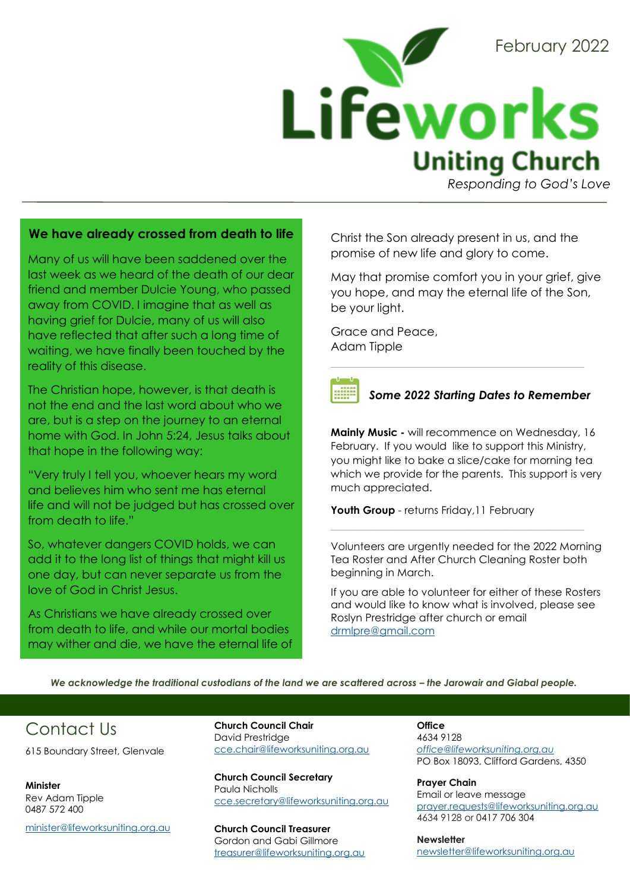

*Responding to God's Love* 

#### **We have already crossed from death to life**

Many of us will have been saddened over the last week as we heard of the death of our dear friend and member Dulcie Young, who passed away from COVID. I imagine that as well as having grief for Dulcie, many of us will also have reflected that after such a long time of waiting, we have finally been touched by the reality of this disease.

The Christian hope, however, is that death is not the end and the last word about who we are, but is a step on the journey to an eternal home with God. In John 5:24, Jesus talks about that hope in the following way:

"Very truly I tell you, whoever hears my word and believes him who sent me has eternal life and will not be judged but has crossed over from death to life."

So, whatever dangers COVID holds, we can add it to the long list of things that might kill us one day, but can never separate us from the love of God in Christ Jesus.

As Christians we have already crossed over from death to life, and while our mortal bodies may wither and die, we have the eternal life of Christ the Son already present in us, and the promise of new life and glory to come.

 $\_$  ,  $\_$  ,  $\_$  ,  $\_$  ,  $\_$  ,  $\_$  ,  $\_$  ,  $\_$  ,  $\_$  ,  $\_$  ,  $\_$  ,  $\_$  ,  $\_$  ,  $\_$  ,  $\_$  ,  $\_$  ,  $\_$  ,  $\_$  ,  $\_$  ,  $\_$  ,  $\_$  ,  $\_$  ,  $\_$  ,  $\_$  ,  $\_$  ,  $\_$  ,  $\_$  ,  $\_$  ,  $\_$  ,  $\_$  ,  $\_$  ,  $\_$  ,  $\_$  ,  $\_$  ,  $\_$  ,  $\_$  ,  $\_$  ,

May that promise comfort you in your grief, give you hope, and may the eternal life of the Son, be your light.

Grace and Peace, Adam Tipple

#### *Some 2022 Starting Dates to Remember*

**Mainly Music -** will recommence on Wednesday, 16 February. If you would like to support this Ministry, you might like to bake a slice/cake for morning tea which we provide for the parents. This support is very much appreciated.

Youth Group - returns Friday, 11 February

Volunteers are urgently needed for the 2022 Morning Tea Roster and After Church Cleaning Roster both beginning in March.

\_\_\_\_\_\_\_\_\_\_\_\_\_\_\_\_\_\_\_\_\_\_\_\_\_\_\_\_\_\_\_\_\_\_\_\_\_\_\_\_\_\_\_\_\_\_\_\_\_\_\_\_\_\_\_\_\_\_\_\_\_\_\_\_\_\_\_\_\_\_\_\_\_\_\_\_\_\_\_\_\_\_\_\_\_\_\_\_\_\_\_\_\_\_\_\_\_\_\_\_\_\_\_\_\_\_\_\_\_\_\_\_\_\_\_\_\_\_\_\_

If you are able to volunteer for either of these Rosters and would like to know what is involved, please see Roslyn Prestridge after church or email [drmlpre@gmail.com](mailto:drmlpre@gmail.com)

*We acknowledge the traditional custodians of the land we are scattered across – the Jarowair and Giabal people.* 

## Contact Us

615 Boundary Street, Glenvale

**Minister** Rev Adam Tipple 0487 572 400

[minister@lifeworksuniting.org.au](mailto:minister@lifeworksuniting.org.au)

**Church Council Chair** David Prestridge [cce.chair@lifeworksuniting.org.au](mailto:cce.chair@lifeworksuniting.org.au)

**Church Council Secretary** Paula Nicholls [cce.secretary@lifeworksuniting.org.au](mailto:cce.secretary@lifeworksuniting.org.au)

**Church Council Treasurer** Gordon and Gabi Gillmore [treasurer@lifeworksuniting.org.au](mailto:treasurer@lifeworksuniting.org.au) **Office** 4634 9128 *[office@lifeworksuniting.org.au](mailto:office@lifeworksuniting.org.au)* PO Box 18093, Clifford Gardens, 4350

**Prayer Chain** Email or leave message [prayer.requests@lifeworksuniting.org.au](mailto:prayer.requests@lifeworksuniting.org.au) 4634 9128 or 0417 706 304

**Newsletter** [newsletter@lifeworksuniting.org.au](mailto:newsletter@lifeworksuniting.org.au)